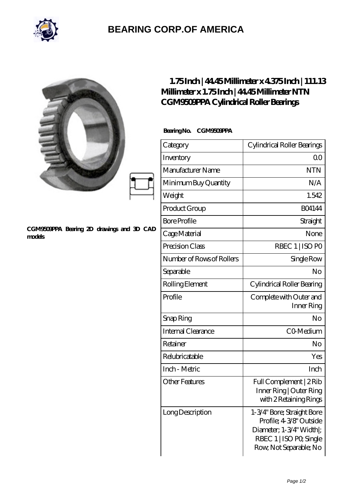

## **[BEARING CORP.OF AMERICA](https://bluemondayreview.com)**

|                                                     | $1.75$ Inch   44.45Millimeter x 4.375Inch   111.13<br>Millimeter x 1.75Inch   4445Millimeter NTN<br>CGM9509PPA Cylindrical Roller Bearings |                                                                                                                                        |
|-----------------------------------------------------|--------------------------------------------------------------------------------------------------------------------------------------------|----------------------------------------------------------------------------------------------------------------------------------------|
| CGM9509PPA Bearing 2D drawings and 3D CAD<br>models | Bearing No.<br><b>CGM960PPA</b>                                                                                                            |                                                                                                                                        |
|                                                     | Category                                                                                                                                   | Cylindrical Roller Bearings                                                                                                            |
|                                                     | Inventory                                                                                                                                  | 0 <sup>0</sup>                                                                                                                         |
|                                                     | Manufacturer Name                                                                                                                          | <b>NTN</b>                                                                                                                             |
|                                                     | Minimum Buy Quantity                                                                                                                       | N/A                                                                                                                                    |
|                                                     | Weight                                                                                                                                     | 1.542                                                                                                                                  |
|                                                     | Product Group                                                                                                                              | <b>BO4144</b>                                                                                                                          |
|                                                     | <b>Bore Profile</b>                                                                                                                        | Straight                                                                                                                               |
|                                                     | Cage Material                                                                                                                              | None                                                                                                                                   |
|                                                     | Precision Class                                                                                                                            | RBEC 1   ISO PO                                                                                                                        |
|                                                     | Number of Rows of Rollers                                                                                                                  | Single Row                                                                                                                             |
|                                                     | Separable                                                                                                                                  | N <sub>o</sub>                                                                                                                         |
|                                                     | Rolling Element                                                                                                                            | Cylindrical Roller Bearing                                                                                                             |
|                                                     | Profile                                                                                                                                    | Complete with Outer and<br>Inner Ring                                                                                                  |
|                                                     | Snap Ring                                                                                                                                  | No                                                                                                                                     |
|                                                     | Internal Clearance                                                                                                                         | CO-Medium                                                                                                                              |
|                                                     | Retainer                                                                                                                                   | No                                                                                                                                     |
|                                                     | Relubricatable                                                                                                                             | Yes                                                                                                                                    |
|                                                     | Inch - Metric                                                                                                                              | Inch                                                                                                                                   |
|                                                     | <b>Other Features</b>                                                                                                                      | Full Complement   2Rib<br>Inner Ring   Outer Ring<br>with 2 Retaining Rings                                                            |
|                                                     | Long Description                                                                                                                           | 1-3/4" Bore; Straight Bore<br>Profile; 4-3/8" Outside<br>Diameter, 1-3/4" Width ;<br>RBEC 1   ISO PO, Single<br>Row, Not Separable; No |